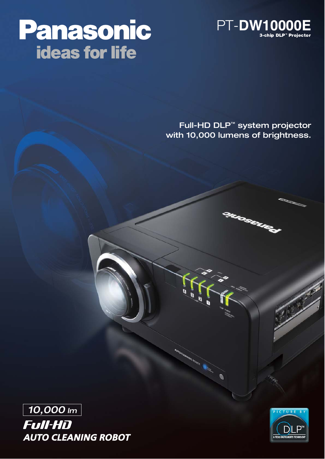

# Panasonic **ideas for life**

Full-HD DLP™ system projector with 10,000 lumens of brightness.

**ILIOSE** 



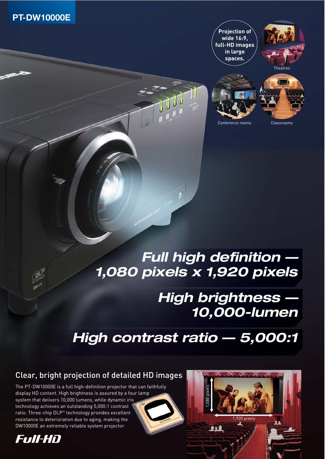

**Projection of wide 16:9, full-HD images in large spaces.**







Conference rooms Classrooms

### **Full high definition — 1,080 pixels x 1,920 pixels**

### **High brightness — 10,000-lumen**

## **High contrast ratio — 5,000:1**

### Clear, bright projection of detailed HD images

The PT-DW10000E is a full high-definition projector that can faithfully display HD content. High brightness is assured by a four lamp system that delivers 10,000 lumens, while dynamic iris technology achieves an outstanding 5,000:1 contrast ratio. Three-chip DLP™ technology provides excellent resistance to deterioration due to aging, making the DW10000E an extremely reliable system projector.



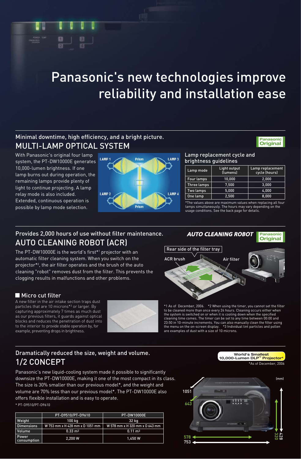## Panasonic's new technologies improve reliability and installation ease

### Minimal downtime, high efficiency, and a bright picture. MULTI-LAMP OPTICAL SYSTEM

With Panasonic's original four lamp system, the PT-DW10000E generates 10,000-lumen brightness. If one lamp burns out during operation, the remaining lamps provide plenty of light to continue projecting. A lamp relay mode is also included. Extended, continuous operation is possible by lamp mode selection.



#### Lamp replacement cycle and brightness guidelines

| Lamp mode   | Light output<br>(lumens) | Lamp replacement<br>cycle (hours) |  |  |  |
|-------------|--------------------------|-----------------------------------|--|--|--|
| Four lamps  | 10,000                   | 2,000                             |  |  |  |
| Three lamps | 7.500                    | 3,000                             |  |  |  |
| Two lamps   | 5.000                    | 4,000                             |  |  |  |
| One lamp    | 2.500                    | 8.000                             |  |  |  |
|             |                          |                                   |  |  |  |

**Panasonic Original**

\*The values above are maximum values when replacing all four lamps simultaneously. The hours may vary depending on the usage conditions. See the back page for details.

### Provides 2,000 hours of use without filter maintenance. AUTO CLEANING ROBOT (ACR)

The PT-DW10000E is the world's first\*1 projector with an automatic filter cleaning system. When you switch on the projector\*2 , the air filter operates and the brush of the auto cleaning "robot" removes dust from the filter. This prevents the clogging results in malfunctions and other problems.

#### **Micro cut filter**

A new filter in the air intake section traps dust particles that are 10 microns\*3 or larger. By capturing approximately 7 times as much dust as our previous filters, it guards against optical blocks and reduces the penetration of dust into to the interior to provide stable operation by, for example, preventing drops in brightness.





\*1 As of December, 2006. \*2 When using the timer, you cannot set the filter to be cleaned more than once every 24 hours. Cleaning occurs either when the system is switched on or when it is cooling down when the specified cleaning time comes. The timer can be set to any time between 00:00 and 23:50 in 10-minute increments. You can also manually clean the filter using the menu on the on-screen display. \*3 Individual lint particles and pollen the menu on the on-screen display. \*3 Individer examples of dust with a size of 10 microns.

#### Dramatically reduced the size, weight and volume. 1/2 CONCEPT

Panasonic's new liquid-cooling system made it possible to significantly downsize the PT-DW10000E, making it one of the most compact in its class. The size is 30% smaller than our previous model\*, and the weight and volume are 70% less than our previous model\*. The PT-DW10000E also offers flexible installation and is easy to operate.

\* PT-D9510/PT-D9610

|                      | PT-D9510/PT-D9610               | <b>PT-DW10000E</b>             |
|----------------------|---------------------------------|--------------------------------|
| Weight               | 100 kg                          | 32 kg                          |
| <b>Dimensions</b>    | W 753 mm x H 428 mm x D 1051 mm | W 578 mm x H 320 mm x D 643 mm |
| Volume               | $0.33 \text{ m}^3$              | $0.11 \text{ m}^3$             |
| Power<br>consumption | 2.200 W                         | 1.450 W                        |



**World's Smallest** 10,000-Lumen DLP<sup>™</sup> Projecto

As of December, 2006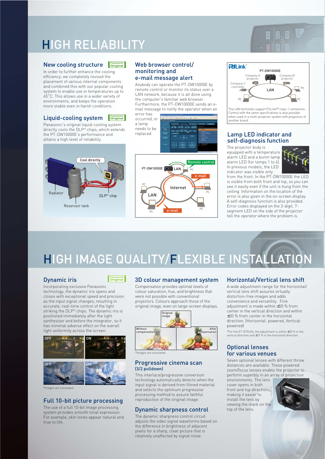### HIGH RELIABILITY

#### New cooling structure **Panasonic Original**

In order to further enhance the cooling efficiency, we completely revised the placement of various internal components and combined this with our popular cooling system to enable use in temperatures up to 45˚C. This allows use in a wider variety of environments, and keeps the operation more stable even in harsh conditions.

#### Liquid-cooling system **Panasonic Original**

Panasonic's original liquid-cooling system directly cools the DLP™ chips, which extends the PT-DW10000E's performance and attains a high level of reliability.



#### Web browser control/ monitoring and e-mail message alert

Anybody can operate the PT-DW10000E by remote control or monitor its status over a LAN network, because it is all done using the computer's familiar web browser. Furthermore, the PT-DW10000E sends an email message to notify the operator when an error has

occurred, or a lamp needs to be replaced.



#### $PII$  ink PT-DW10000E Company A Company B  $projection$ projecto Company C controller LAN PCPC PC PC

The LAN terminals support PJLink™ class 1 connection. Control with the same specifications is also possible when used in a multi-projector system with projectors of another brand.

#### Lamp LED indicator and self-diagnosis function

The projector body is equipped with a temperature alarm LED and a burnt-lamp alarm LED (for lamps 1 to 4). In previous models, the LED indicator was visible only



from the front. In the PT-DW10000E the LED is visible from both front and top, so you can see it easily even if the unit is hung from the ceiling. Information on the location of the error is also given in the on-screen display. A self-diagnosis function is also provided. Error codes displayed on the 3-digit, 7 segment LED on the side of the projector tell the operator where the problem is.

## HIGH IMAGE QUALITY/FLEXIBLE INSTALLATION

#### Dynamic iris

**Panasonic Original**

Incorporating exclusive Panasonic technology, the dynamic iris opens and closes with exceptional speed and precision as the input signal changes, resulting in accurate, real-time control of the light striking the DLP™ chips. The dynamic iris is positioned immediately after the light synthesiser and before the integrator, so it has minimal adverse effect on the overall light uniformity across the screen.



\*Images are simulated.

#### Full 10-bit picture processing

The use of a full 10-bit image processing system provides smooth tonal expression. For example, skin tones appear natural and true to life.

#### 3D colour management system

Compensation provides optimal levels of colour saturation, hue, and brightness that were not possible with conventional projectors. Colours approach those of the original image, even on large-screen displays.



\*Images are simulated.

#### Progressive cinema scan (3/2 pulldown)

This interlace/progressive conversion technology automatically detects when the input signal is derived from filmed material and selects the optimum progressive processing method to assure faithful reproduction of the original image.

#### Dynamic sharpness control

The dynamic sharpness control circuit adjusts the video signal waveforms based on the difference in brightness of adjacent pixels for a sharp, clear picture that is relatively unaffected by signal noise.

#### Horizontal/Vertical lens shift

A wide adjustment range for the horizontal/ vertical lens shift assures virtually distortion-free images and adds convenience and versatility. Fine adjustment is made within ±50 % from center in the vertical direction and within ±30 % from center in the horizontal direction. (Horizontal: powered, Vertical: powered)

\*For the ET-D75LE6, the adjustment is within ±50 % in the vertical direction and ±15 % in the horizontal direction.

#### Optional lenses for various venues

Seven optional lenses with different throw distances are available. These powered zoom/focus lenses enable the projector to perform superbly in an array of projection

environments. The lens cover opens in both front and top directions making it easier to install the lens by viewing the mark on the top of the lens.

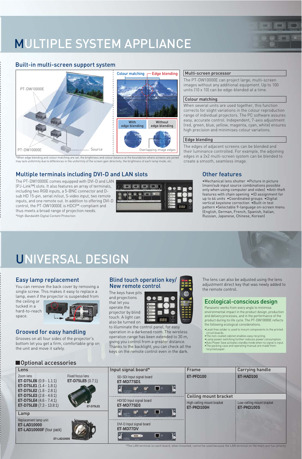### MULTIPLE SYSTEM APPLIANCE

#### Built-in multi-screen support system



\*When edge blending and colour matching are set, the brightness and colour balance at the boundaries where screens are joi may lack uniformity due to differences in the uniformity of the screen gain directivity, the brightness of each lamp mode, etc.

#### Multiple terminals including DVI-D and LAN slots

The PT-DW10000E comes equipped with DVI-D and LAN (PJ-Link™) slots. It also features an array of terminals, including two RGB inputs, a 5-BNC connector and Dsub HD 15-pin, serial in/out, S-video input, two remote inputs, and one remote out. In addition to offering DVI-D control, the PT-DW10000E is HDCP\*-compliant and thus meets a broad range of projection needs. \*High-Bandwidth Digital Content Protection



#### Multi-screen processor

The PT-DW10000E can project large, multi-screen images without any additional equipment. Up to 100 units (10 x 10) can be edge-blended at a time.

**Control of the Angles** and Control of

**Le compo de cat** 

#### Colour matching

When several units are used together, this function corrects for slight variations in the colour reproduction range of individual projectors. The PC software assures easy, accurate control. Independent, 7-axis adjustment (red, green, blue, yellow, magenta, cyan, white) ensures high precision and minimises colour variations.

#### Edge blending

The edges of adjacent screens can be blended and their luminance controlled. For example, the adjoining edges in a 2x2 multi-screen system can be blended to create a smooth, seamless image.

#### Other features

•Mechanical lens shutter •Picture in picture (main/sub input source combinations possible only when using computer and video) •Anti-theft features with chain opening •ID assignment for up to 64 units •Coordinated groups •Digital vertical keystone correction •Built-in test pattern •Selectable 9-language on-screen menu (English, German, French, Spanish, Italian, Russian, Japanese, Chinese, Korean)

### UNIVERSAL DESIGN

#### Easy lamp replacement

You can remove the back cover by removing a single screw. This makes it easy to replace a lamp, even if the projector is suspended from

the ceiling or tucked in a hard-to-reach space.



#### Grooved for easy handling

Grooves on all four sides of the projector's bottom let you get a firm, comfortable grip on the unit and move it safely.

#### **Optional accessories**

#### Blind touch operation key/ New remote control

The keys have pits and projections that let you operate the projector by blind

touch. A light can also be turned on 888

to illuminate the control panel, for easy operation in a darkened room. The wireless operation range has been extended to 30 m, giving you control from a greater distance. Thanks to the backlight, you can check all the keys on the remote control even in the dark.

The lens can also be adjusted using the lens adjustment direct key that was newly added to the remote control.

#### Ecological-conscious design

Panasonic works from every angle to minimise

environmental impact in the product design, production and delivery processes, and in the performance of the product during its life cycle. The PT-DW10000E reflects the following ecological considerations.

- •Lead-free solder is used to mount components to the printed
- 
- circuit boards.<br>
•The non-coated cabinet enables easy recycling.<br>
•Lamp power switching further reduces power consumption.<br>
•Auto Power Save activates standby mode when no signal is input.<br>
•The packing case and operating
	-

Lens Input signal board\* Frame Carrying handle Zoom lens Fixed focus lens SD-SDI Input signal board **ET-PFD100 ET-HAD100 ET-D75LE6** (0.9 - 1.1:1) **ET-D75LE5** (0.7:1) **ET-MD77SD1 ET-D75LE1** (1.4 - 1.8:1) ä  $\mathbf{G}^{\bullet}$  $\omega$ □ **ET-D75LE2** (1.8 - 2.8:1) **ET-D75LE3** (2.8 - 4.6:1) Ceiling mount bracket **ET-D75LE4** (4.6 - 7.4:1) HD/SD Input signal board High-ceiling mount bracket Low-ceiling mount bracket **ET-D75LE8** (7.3 - 13.8:1) **ET-MD77SD3 ET-D75LE1 ET-PKD100H ET-PKD100S** ö **GP**  $\omega$ □ Lamp Replacement lamp unit DVI-D Input signal board **ET-LAD10000 ET-MD77DV ET-LAD10000F** (four pack) ä ⊓  $q = p$ 

**ET-LAD10000**

#### \*The LAN terminal on each board, when mounted, cannot be used because the LAN terminal on the main unit has priority.